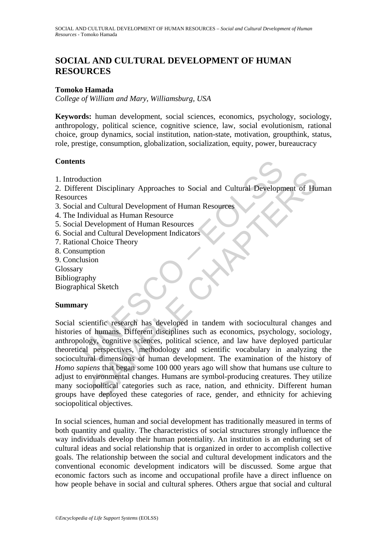# **SOCIAL AND CULTURAL DEVELOPMENT OF HUMAN RESOURCES**

### **Tomoko Hamada**

*College of William and Mary, Williamsburg, USA* 

**Keywords:** human development, social sciences, economics, psychology, sociology, anthropology, political science, cognitive science, law, social evolutionism, rational choice, group dynamics, social institution, nation-state, motivation, groupthink, status, role, prestige, consumption, globalization, socialization, equity, power, bureaucracy

#### **Contents**

1. Introduction

2. Different Disciplinary Approaches to Social and Cultural Development of Human Resources

- 3. Social and Cultural Development of Human Resources
- 4. The Individual as Human Resource
- 5. Social Development of Human Resources
- 6. Social and Cultural Development Indicators
- 7. Rational Choice Theory
- 8. Consumption
- 9. Conclusion
- Glossary
- Bibliography
- Biographical Sketch

#### **Summary**

ts<br>
duction<br>
erent Disciplinary Approaches to Social and Cultural Developm<br>
erent dividual as Human Resource<br>
ndividual as Human Resources<br>
ndividual as Human Resources<br>
nal Cultural Development Indicators<br>
and Cultural De tion<br>
tion<br>
the University Approaches to Social and Cultural Development of Hu<br>
and Cultural Development of Human Resources<br>
vidual as Human Resource<br>
evelopment of Human Resources<br>
d Cultural Development Indicators<br>
choic Social scientific research has developed in tandem with sociocultural changes and histories of humans. Different disciplines such as economics, psychology, sociology, anthropology, cognitive sciences, political science, and law have deployed particular theoretical perspectives, methodology and scientific vocabulary in analyzing the sociocultural dimensions of human development. The examination of the history of *Homo sapiens* that began some 100 000 years ago will show that humans use culture to adjust to environmental changes. Humans are symbol-producing creatures. They utilize many sociopolitical categories such as race, nation, and ethnicity. Different human groups have deployed these categories of race, gender, and ethnicity for achieving sociopolitical objectives.

In social sciences, human and social development has traditionally measured in terms of both quantity and quality. The characteristics of social structures strongly influence the way individuals develop their human potentiality. An institution is an enduring set of cultural ideas and social relationship that is organized in order to accomplish collective goals. The relationship between the social and cultural development indicators and the conventional economic development indicators will be discussed. Some argue that economic factors such as income and occupational profile have a direct influence on how people behave in social and cultural spheres. Others argue that social and cultural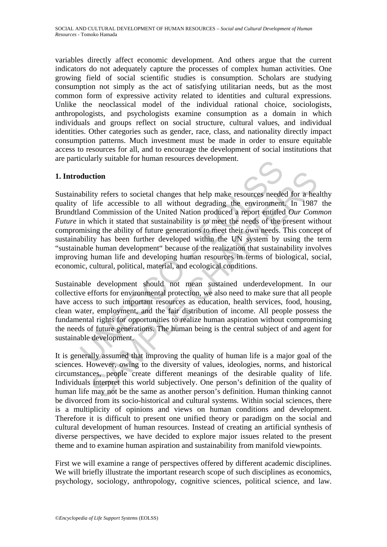variables directly affect economic development. And others argue that the current indicators do not adequately capture the processes of complex human activities. One growing field of social scientific studies is consumption. Scholars are studying consumption not simply as the act of satisfying utilitarian needs, but as the most common form of expressive activity related to identities and cultural expressions. Unlike the neoclassical model of the individual rational choice, sociologists, anthropologists, and psychologists examine consumption as a domain in which individuals and groups reflect on social structure, cultural values, and individual identities. Other categories such as gender, race, class, and nationality directly impact consumption patterns. Much investment must be made in order to ensure equitable access to resources for all, and to encourage the development of social institutions that are particularly suitable for human resources development.

## **1. Introduction**

duction<br>
duction<br>
duction<br>
ability refers to societal changes that help make resources neede<br>
of life accessible to all without degrading the environment<br>
and Commission of the United Nation produced a report entitleed<br>
in ction<br>ity refers to societal changes that help make resources needed for a heal<br>ife accessible to all without degrading the environment. In 1987<br>I Commission of the United Nation produced a report entitled *Our Com*<br>which Sustainability refers to societal changes that help make resources needed for a healthy quality of life accessible to all without degrading the environment. In 1987 the Brundtland Commission of the United Nation produced a report entitled *Our Common Future* in which it stated that sustainability is to meet the needs of the present without compromising the ability of future generations to meet their own needs. This concept of sustainability has been further developed within the UN system by using the term "sustainable human development" because of the realization that sustainability involves improving human life and developing human resources in terms of biological, social, economic, cultural, political, material, and ecological conditions.

Sustainable development should not mean sustained underdevelopment. In our collective efforts for environmental protection, we also need to make sure that all people have access to such important resources as education, health services, food, housing, clean water, employment, and the fair distribution of income. All people possess the fundamental rights for opportunities to realize human aspiration without compromising the needs of future generations. The human being is the central subject of and agent for sustainable development.

It is generally assumed that improving the quality of human life is a major goal of the sciences. However, owing to the diversity of values, ideologies, norms, and historical circumstances, people create different meanings of the desirable quality of life. Individuals interpret this world subjectively. One person's definition of the quality of human life may not be the same as another person's definition. Human thinking cannot be divorced from its socio-historical and cultural systems. Within social sciences, there is a multiplicity of opinions and views on human conditions and development. Therefore it is difficult to present one unified theory or paradigm on the social and cultural development of human resources. Instead of creating an artificial synthesis of diverse perspectives, we have decided to explore major issues related to the present theme and to examine human aspiration and sustainability from manifold viewpoints.

First we will examine a range of perspectives offered by different academic disciplines. We will briefly illustrate the important research scope of such disciplines as economics, psychology, sociology, anthropology, cognitive sciences, political science, and law.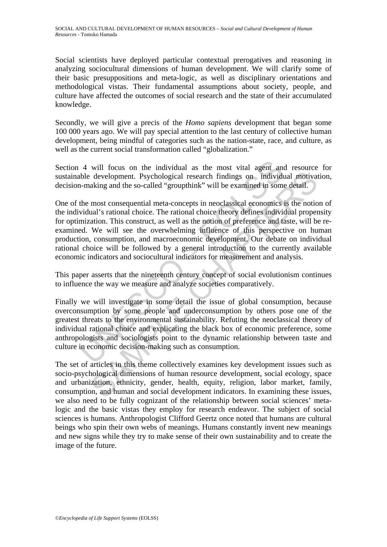Social scientists have deployed particular contextual prerogatives and reasoning in analyzing sociocultural dimensions of human development. We will clarify some of their basic presuppositions and meta-logic, as well as disciplinary orientations and methodological vistas. Their fundamental assumptions about society, people, and culture have affected the outcomes of social research and the state of their accumulated knowledge.

Secondly, we will give a precis of the *Homo sapiens* development that began some 100 000 years ago. We will pay special attention to the last century of collective human development, being mindful of categories such as the nation-state, race, and culture, as well as the current social transformation called "globalization."

Section 4 will focus on the individual as the most vital agent and resource for sustainable development. Psychological research findings on individual motivation, decision-making and the so-called "groupthink" will be examined in some detail.

4 will focus on the individual as the most vital agent and<br>the development. Psychological research findings on individu-<br>making and the so-called "groupthink" will be examined in some<br>the most consequential meta-concepts i development. Psychological research findings on individual motivary<br>aking and the so-called "groupthink" will be examined in some detail.<br>most consequential meta-concepts in neoclassical economics is the notional's rationa One of the most consequential meta-concepts in neoclassical economics is the notion of the individual's rational choice. The rational choice theory defines individual propensity for optimization. This construct, as well as the notion of preference and taste, will be reexamined. We will see the overwhelming influence of this perspective on human production, consumption, and macroeconomic development. Our debate on individual rational choice will be followed by a general introduction to the currently available economic indicators and sociocultural indicators for measurement and analysis.

This paper asserts that the nineteenth century concept of social evolutionism continues to influence the way we measure and analyze societies comparatively.

Finally we will investigate in some detail the issue of global consumption, because overconsumption by some people and underconsumption by others pose one of the greatest threats to the environmental sustainability. Refuting the neoclassical theory of individual rational choice and explicating the black box of economic preference, some anthropologists and sociologists point to the dynamic relationship between taste and culture in economic decision-making such as consumption.

The set of articles in this theme collectively examines key development issues such as socio-psychological dimensions of human resource development, social ecology, space and urbanization, ethnicity, gender, health, equity, religion, labor market, family, consumption, and human and social development indicators. In examining these issues, we also need to be fully cognizant of the relationship between social sciences' metalogic and the basic vistas they employ for research endeavor. The subject of social sciences is humans. Anthropologist Clifford Geertz once noted that humans are cultural beings who spin their own webs of meanings. Humans constantly invent new meanings and new signs while they try to make sense of their own sustainability and to create the image of the future.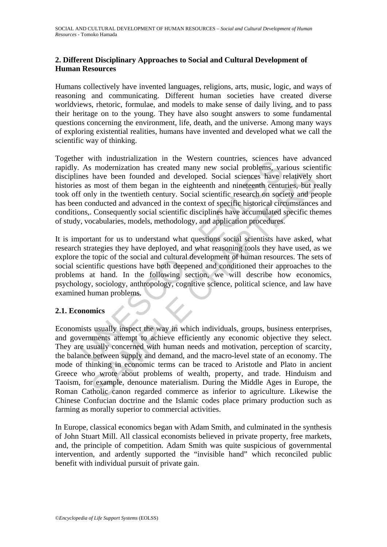# **2. Different Disciplinary Approaches to Social and Cultural Development of Human Resources**

Humans collectively have invented languages, religions, arts, music, logic, and ways of reasoning and communicating. Different human societies have created diverse worldviews, rhetoric, formulae, and models to make sense of daily living, and to pass their heritage on to the young. They have also sought answers to some fundamental questions concerning the environment, life, death, and the universe. Among many ways of exploring existential realities, humans have invented and developed what we call the scientific way of thinking.

The wind musularization in the western counties, science and more best<br>As modernization has created many new social problems, values have been founded and developed. Social sciences have the same shave been founded and dev Together with industrialization in the Western countries, sciences have advanced rapidly. As modernization has created many new social problems, various scientific disciplines have been founded and developed. Social sciences have relatively short histories as most of them began in the eighteenth and nineteenth centuries, but really took off only in the twentieth century. Social scientific research on society and people has been conducted and advanced in the context of specific historical circumstances and conditions,. Consequently social scientific disciplines have accumulated specific themes of study, vocabularies, models, methodology, and application procedures.

It is important for us to understand what questions social scientists have asked, what research strategies they have deployed, and what reasoning tools they have used, as we explore the topic of the social and cultural development of human resources. The sets of social scientific questions have both deepened and conditioned their approaches to the problems at hand. In the following section, we will describe how economics, psychology, sociology, anthropology, cognitive science, political science, and law have examined human problems.

## **2.1. Economics**

have been founded and developed. Social sciences have relatively s<br>most of them began in the eighteenth and ninefeenth centuries, but rely<br>uly in the twentieth century. Social sciencific research on society and per<br>unducte Economists usually inspect the way in which individuals, groups, business enterprises, and governments attempt to achieve efficiently any economic objective they select. They are usually concerned with human needs and motivation, perception of scarcity, the balance between supply and demand, and the macro-level state of an economy. The mode of thinking in economic terms can be traced to Aristotle and Plato in ancient Greece who wrote about problems of wealth, property, and trade. Hinduism and Taoism, for example, denounce materialism. During the Middle Ages in Europe, the Roman Catholic canon regarded commerce as inferior to agriculture. Likewise the Chinese Confucian doctrine and the Islamic codes place primary production such as farming as morally superior to commercial activities.

In Europe, classical economics began with Adam Smith, and culminated in the synthesis of John Stuart Mill. All classical economists believed in private property, free markets, and, the principle of competition. Adam Smith was quite suspicious of governmental intervention, and ardently supported the "invisible hand" which reconciled public benefit with individual pursuit of private gain.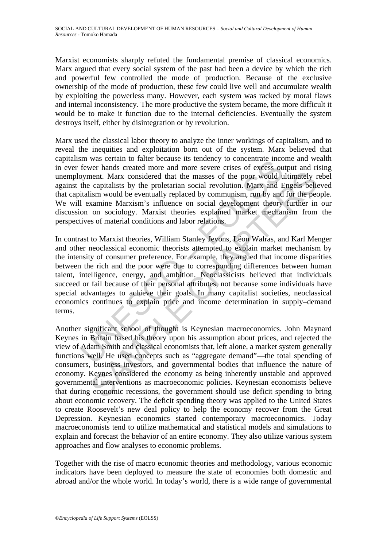Marxist economists sharply refuted the fundamental premise of classical economics. Marx argued that every social system of the past had been a device by which the rich and powerful few controlled the mode of production. Because of the exclusive ownership of the mode of production, these few could live well and accumulate wealth by exploiting the powerless many. However, each system was racked by moral flaws and internal inconsistency. The more productive the system became, the more difficult it would be to make it function due to the internal deficiencies. Eventually the system destroys itself, either by disintegration or by revolution.

Marx used the classical labor theory to analyze the inner workings of capitalism, and to reveal the inequities and exploitation born out of the system. Marx believed that capitalism was certain to falter because its tendency to concentrate income and wealth in ever fewer hands created more and more severe crises of excess output and rising unemployment. Marx considered that the masses of the poor would ultimately rebel against the capitalists by the proletarian social revolution. Marx and Engels believed that capitalism would be eventually replaced by communism, run by and for the people. We will examine Marxism's influence on social development theory further in our discussion on sociology. Marxist theories explained market mechanism from the perspectives of material conditions and labor relations.

m was betain to hatter because its elementy to concentuate into<br>fewer hands created more and more severe crises of excess ou<br>opyment. Marx considered that the masses of the poor would u<br>the capitalists by the proletarian s m would be eventually replaced that the masses of the poor would ultimately r capitalists by the proletarian social revolution. Marx and Engels believant conjunisties by the proletarian social revolution. Marx and Engels b In contrast to Marxist theories, William Stanley Jevons, Léon Walras, and Karl Menger and other neoclassical economic theorists attempted to explain market mechanism by the intensity of consumer preference. For example, they argued that income disparities between the rich and the poor were due to corresponding differences between human talent, intelligence, energy, and ambition. Neoclassicists believed that individuals succeed or fail because of their personal attributes, not because some individuals have special advantages to achieve their goals. In many capitalist societies, neoclassical economics continues to explain price and income determination in supply–demand terms.

Another significant school of thought is Keynesian macroeconomics. John Maynard Keynes in Britain based his theory upon his assumption about prices, and rejected the view of Adam Smith and classical economists that, left alone, a market system generally functions well. He used concepts such as "aggregate demand"—the total spending of consumers, business investors, and governmental bodies that influence the nature of economy. Keynes considered the economy as being inherently unstable and approved governmental interventions as macroeconomic policies. Keynesian economists believe that during economic recessions, the government should use deficit spending to bring about economic recovery. The deficit spending theory was applied to the United States to create Roosevelt's new deal policy to help the economy recover from the Great Depression. Keynesian economics started contemporary macroeconomics. Today macroeconomists tend to utilize mathematical and statistical models and simulations to explain and forecast the behavior of an entire economy. They also utilize various system approaches and flow analyses to economic problems.

Together with the rise of macro economic theories and methodology, various economic indicators have been deployed to measure the state of economies both domestic and abroad and/or the whole world. In today's world, there is a wide range of governmental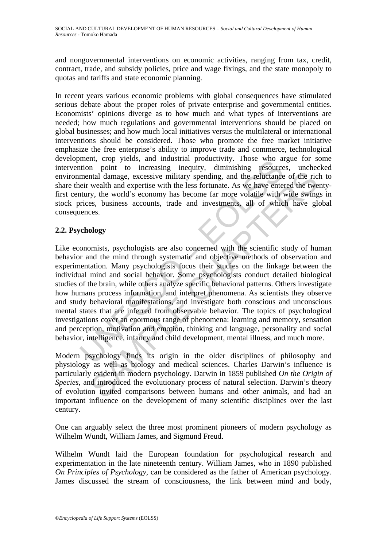and nongovernmental interventions on economic activities, ranging from tax, credit, contract, trade, and subsidy policies, price and wage fixings, and the state monopoly to quotas and tariffs and state economic planning.

In recent years various economic problems with global consequences have stimulated serious debate about the proper roles of private enterprise and governmental entities. Economists' opinions diverge as to how much and what types of interventions are needed; how much regulations and governmental interventions should be placed on global businesses; and how much local initiatives versus the multilateral or international interventions should be considered. Those who promote the free market initiative emphasize the free enterprise's ability to improve trade and commerce, technological development, crop yields, and industrial productivity. Those who argue for some intervention point to increasing inequity, diminishing resources, unchecked environmental damage, excessive military spending, and the reluctance of the rich to share their wealth and expertise with the less fortunate. As we have entered the twentyfirst century, the world's economy has become far more volatile with wide swings in stock prices, business accounts, trade and investments, all of which have global consequences.

# **2.2. Psychology**

ment, clop yelus, and intensitant productivity. Those who an<br>ition point to increasing inequity, diminshing resource<br>mental damage, excessive military spending, and the reluctance<br>eir wealth and expertise with the less for and Hamage, excessive military spending, and the reluctance of the rice wealth and expertise with the less fortunate. As we have entered the two wealth and expertise with the less fortunate. As we have entered the two weal Like economists, psychologists are also concerned with the scientific study of human behavior and the mind through systematic and objective methods of observation and experimentation. Many psychologists focus their studies on the linkage between the individual mind and social behavior. Some psychologists conduct detailed biological studies of the brain, while others analyze specific behavioral patterns. Others investigate how humans process information, and interpret phenomena. As scientists they observe and study behavioral manifestations, and investigate both conscious and unconscious mental states that are inferred from observable behavior. The topics of psychological investigations cover an enormous range of phenomena: learning and memory, sensation and perception, motivation and emotion, thinking and language, personality and social behavior, intelligence, infancy and child development, mental illness, and much more.

Modern psychology finds its origin in the older disciplines of philosophy and physiology as well as biology and medical sciences. Charles Darwin's influence is particularly evident in modern psychology. Darwin in 1859 published *On the Origin of Species*, and introduced the evolutionary process of natural selection. Darwin's theory of evolution invited comparisons between humans and other animals, and had an important influence on the development of many scientific disciplines over the last century.

One can arguably select the three most prominent pioneers of modern psychology as Wilhelm Wundt, William James, and Sigmund Freud.

Wilhelm Wundt laid the European foundation for psychological research and experimentation in the late nineteenth century. William James, who in 1890 published *On Principles of Psychology*, can be considered as the father of American psychology. James discussed the stream of consciousness, the link between mind and body,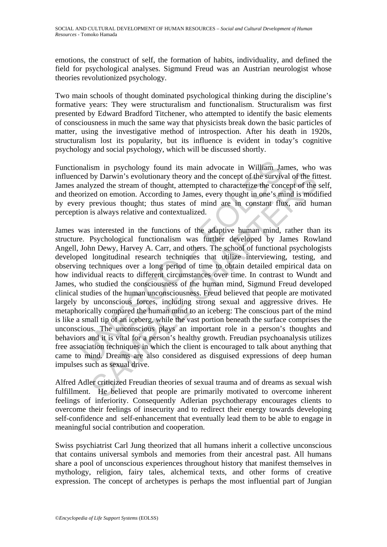emotions, the construct of self, the formation of habits, individuality, and defined the field for psychological analyses. Sigmund Freud was an Austrian neurologist whose theories revolutionized psychology.

Two main schools of thought dominated psychological thinking during the discipline's formative years: They were structuralism and functionalism. Structuralism was first presented by Edward Bradford Titchener, who attempted to identify the basic elements of consciousness in much the same way that physicists break down the basic particles of matter, using the investigative method of introspection. After his death in 1920s, structuralism lost its popularity, but its influence is evident in today's cognitive psychology and social psychology, which will be discussed shortly.

Functionalism in psychology found its main advocate in William James, who was influenced by Darwin's evolutionary theory and the concept of the survival of the fittest. James analyzed the stream of thought, attempted to characterize the concept of the self, and theorized on emotion. According to James, every thought in one's mind is modified by every previous thought; thus states of mind are in constant flux, and human perception is always relative and contextualized.

nalism in psychology found its main advocate in William Ja<br>red by Darwin's evolutionary theory and the concept of the surviv<br>nalyzed the stream of thought, attempted to characterize the conc<br>prized on emotion. According to by Darwin's evolutionary theory and the concept of the survival of the fit of the survival of the fit of the stream of thought, attempted to characterize the concept of the fit orgat providing to James, every thought in on James was interested in the functions of the adaptive human mind, rather than its structure. Psychological functionalism was further developed by James Rowland Angell, John Dewy, Harvey A. Carr, and others. The school of functional psychologists developed longitudinal research techniques that utilize interviewing, testing, and observing techniques over a long period of time to obtain detailed empirical data on how individual reacts to different circumstances over time. In contrast to Wundt and James, who studied the consciousness of the human mind, Sigmund Freud developed clinical studies of the human unconsciousness. Freud believed that people are motivated largely by unconscious forces, including strong sexual and aggressive drives. He metaphorically compared the human mind to an iceberg: The conscious part of the mind is like a small tip of an iceberg, while the vast portion beneath the surface comprises the unconscious. The unconscious plays an important role in a person's thoughts and behaviors and it is vital for a person's healthy growth. Freudian psychoanalysis utilizes free association techniques in which the client is encouraged to talk about anything that came to mind. Dreams are also considered as disguised expressions of deep human impulses such as sexual drive.

Alfred Adler criticized Freudian theories of sexual trauma and of dreams as sexual wish fulfillment. He believed that people are primarily motivated to overcome inherent feelings of inferiority. Consequently Adlerian psychotherapy encourages clients to overcome their feelings of insecurity and to redirect their energy towards developing self-confidence and self-enhancement that eventually lead them to be able to engage in meaningful social contribution and cooperation.

Swiss psychiatrist Carl Jung theorized that all humans inherit a collective unconscious that contains universal symbols and memories from their ancestral past. All humans share a pool of unconscious experiences throughout history that manifest themselves in mythology, religion, fairy tales, alchemical texts, and other forms of creative expression. The concept of archetypes is perhaps the most influential part of Jungian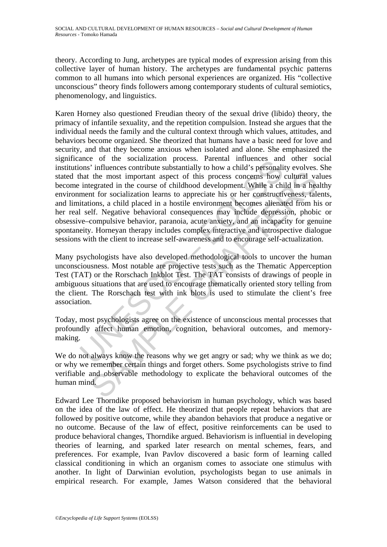theory. According to Jung, archetypes are typical modes of expression arising from this collective layer of human history. The archetypes are fundamental psychic patterns common to all humans into which personal experiences are organized. His "collective unconscious" theory finds followers among contemporary students of cultural semiotics, phenomenology, and linguistics.

and minder or the socialization ploces. Farental minder<br>test and minder on the socialization process. Farental minders<br>that the most important aspect of this process concerns how<br>integrated in the course of childhood devel the most important aspect of this process concerns how cultural value at the most important aspect of this process concerns how cultural value at the course of childhood development. While a child in a head to more constru Karen Horney also questioned Freudian theory of the sexual drive (libido) theory, the primacy of infantile sexuality, and the repetition compulsion. Instead she argues that the individual needs the family and the cultural context through which values, attitudes, and behaviors become organized. She theorized that humans have a basic need for love and security, and that they become anxious when isolated and alone. She emphasized the significance of the socialization process. Parental influences and other social institutions' influences contribute substantially to how a child's personality evolves. She stated that the most important aspect of this process concerns how cultural values become integrated in the course of childhood development. While a child in a healthy environment for socialization learns to appreciate his or her constructiveness, talents, and limitations, a child placed in a hostile environment becomes alienated from his or her real self. Negative behavioral consequences may include depression, phobic or obsessive–compulsive behavior, paranoia, acute anxiety, and an incapacity for genuine spontaneity. Horneyan therapy includes complex interactive and introspective dialogue sessions with the client to increase self-awareness and to encourage self-actualization.

Many psychologists have also developed methodological tools to uncover the human unconsciousness. Most notable are projective tests such as the Thematic Apperception Test (TAT) or the Rorschach Inkblot Test. The TAT consists of drawings of people in ambiguous situations that are used to encourage thematically oriented story telling from the client. The Rorschach test with ink blots is used to stimulate the client's free association.

Today, most psychologists agree on the existence of unconscious mental processes that profoundly affect human emotion, cognition, behavioral outcomes, and memorymaking.

We do not always know the reasons why we get angry or sad; why we think as we do; or why we remember certain things and forget others. Some psychologists strive to find verifiable and observable methodology to explicate the behavioral outcomes of the human mind.

Edward Lee Thorndike proposed behaviorism in human psychology, which was based on the idea of the law of effect. He theorized that people repeat behaviors that are followed by positive outcome, while they abandon behaviors that produce a negative or no outcome. Because of the law of effect, positive reinforcements can be used to produce behavioral changes, Thorndike argued. Behaviorism is influential in developing theories of learning, and sparked later research on mental schemes, fears, and preferences. For example, Ivan Pavlov discovered a basic form of learning called classical conditioning in which an organism comes to associate one stimulus with another. In light of Darwinian evolution, psychologists began to use animals in empirical research. For example, James Watson considered that the behavioral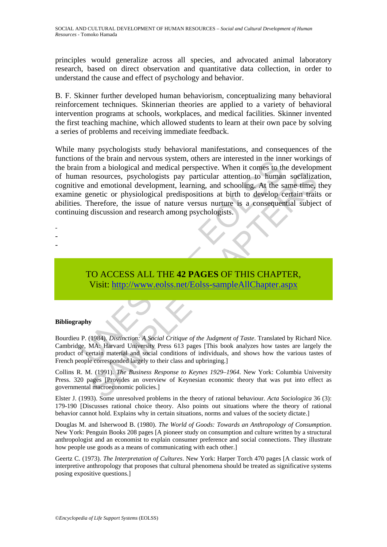principles would generalize across all species, and advocated animal laboratory research, based on direct observation and quantitative data collection, in order to understand the cause and effect of psychology and behavior.

B. F. Skinner further developed human behaviorism, conceptualizing many behavioral reinforcement techniques. Skinnerian theories are applied to a variety of behavioral intervention programs at schools, workplaces, and medical facilities. Skinner invented the first teaching machine, which allowed students to learn at their own pace by solving a series of problems and receiving immediate feedback.

Is on the brain and net votas system, outers are interested in the min<br>an resources, psychologists pay particular attention to human<br>ve and emotional development, learning, and schooling. At the s<br>genetic or physiological resources, psychologists pay particular attention to human socializate<br>
metodical development, learning, and schooling. At the same time,<br>
energic or physiological predispositions at birth to develop certain trait<br>
therefo While many psychologists study behavioral manifestations, and consequences of the functions of the brain and nervous system, others are interested in the inner workings of the brain from a biological and medical perspective. When it comes to the development of human resources, psychologists pay particular attention to human socialization, cognitive and emotional development, learning, and schooling. At the same time, they examine genetic or physiological predispositions at birth to develop certain traits or abilities. Therefore, the issue of nature versus nurture is a consequential subject of continuing discussion and research among psychologists.

- -
- -
- TO ACCESS ALL THE **42 PAGES** OF THIS CHAPTER, Visit: http://www.eolss.net/Eolss-sampleAllChapter.aspx

### **Bibliography**

Bourdieu P. (1984). *Distinction: A Social Critique of the Judgment of Taste*. Translated by Richard Nice. Cambridge, MA: Harvard University Press 613 pages [This book analyzes how tastes are largely the product of certain material and social conditions of individuals, and shows how the various tastes of French people corresponded largely to their class and upbringing.]

Collins R. M. (1991). *The Business Response to Keynes 1929–1964*. New York: Columbia University Press. 320 pages [Provides an overview of Keynesian economic theory that was put into effect as governmental macroeconomic policies.]

Elster J. (1993). Some unresolved problems in the theory of rational behaviour. *Acta Sociologica* 36 (3): 179-190 [Discusses rational choice theory. Also points out situations where the theory of rational behavior cannot hold. Explains why in certain situations, norms and values of the society dictate.]

Douglas M. and Isherwood B. (1980). *The World of Goods: Towards an Anthropology of Consumption*. New York: Penguin Books 208 pages [A pioneer study on consumption and culture written by a structural anthropologist and an economist to explain consumer preference and social connections. They illustrate how people use goods as a means of communicating with each other.]

Geertz C. (1973). *The Interpretation of Cultures*. New York: Harper Torch 470 pages [A classic work of interpretive anthropology that proposes that cultural phenomena should be treated as significative systems posing expositive questions.]